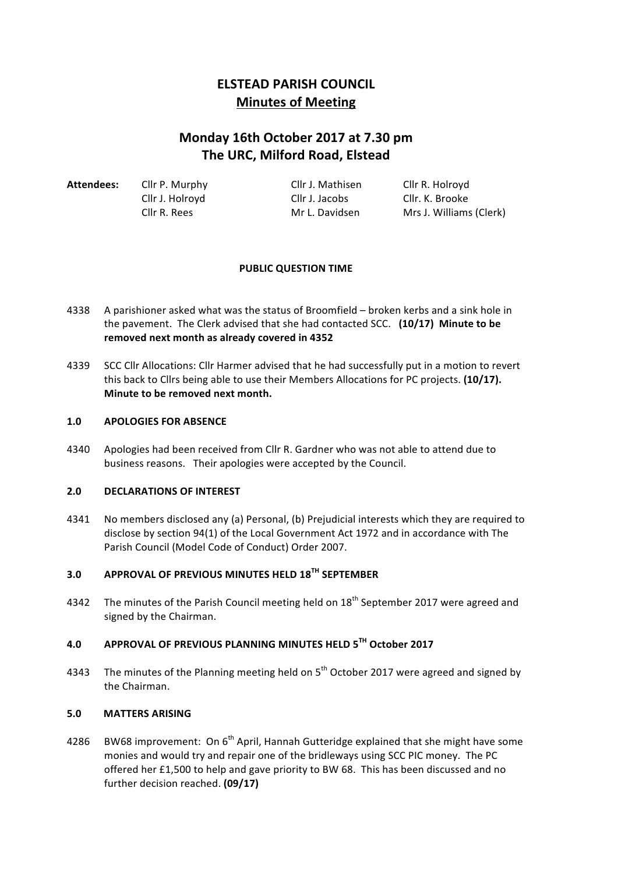# **ELSTEAD PARISH COUNCIL Minutes of Meeting**

# **Monday 16th October 2017 at 7.30 pm The URC, Milford Road, Elstead**

| Attendees: | Cllr P. Murphy  | Cllr J. Mathisen | Cllr R. Holroyd         |
|------------|-----------------|------------------|-------------------------|
|            | Cllr J. Holroyd | Cllr J. Jacobs   | Cllr. K. Brooke         |
|            | Cllr R. Rees    | Mr L. Davidsen   | Mrs J. Williams (Clerk) |

### **PUBLIC QUESTION TIME**

- 4338 A parishioner asked what was the status of Broomfield broken kerbs and a sink hole in the pavement. The Clerk advised that she had contacted SCC. (10/17) Minute to be removed next month as already covered in 4352
- 4339 SCC Cllr Allocations: Cllr Harmer advised that he had successfully put in a motion to revert this back to Cllrs being able to use their Members Allocations for PC projects. (10/17). **Minute to be removed next month.**

#### 1.0 **APOLOGIES FOR ABSENCE**

4340 Apologies had been received from Cllr R. Gardner who was not able to attend due to business reasons. Their apologies were accepted by the Council.

#### **2.0 DECLARATIONS OF INTEREST**

4341 No members disclosed any (a) Personal, (b) Prejudicial interests which they are required to disclose by section 94(1) of the Local Government Act 1972 and in accordance with The Parish Council (Model Code of Conduct) Order 2007.

# **3.0 APPROVAL OF PREVIOUS MINUTES HELD 18TH SEPTEMBER**

4342 The minutes of the Parish Council meeting held on  $18<sup>th</sup>$  September 2017 were agreed and signed by the Chairman.

## **4.0 APPROVAL OF PREVIOUS PLANNING MINUTES HELD 5TH October 2017**

4343 The minutes of the Planning meeting held on  $5<sup>th</sup>$  October 2017 were agreed and signed by the Chairman.

### **5.0 MATTERS ARISING**

4286 BW68 improvement: On  $6<sup>th</sup>$  April, Hannah Gutteridge explained that she might have some monies and would try and repair one of the bridleways using SCC PIC money. The PC offered her £1,500 to help and gave priority to BW 68. This has been discussed and no further decision reached. **(09/17)**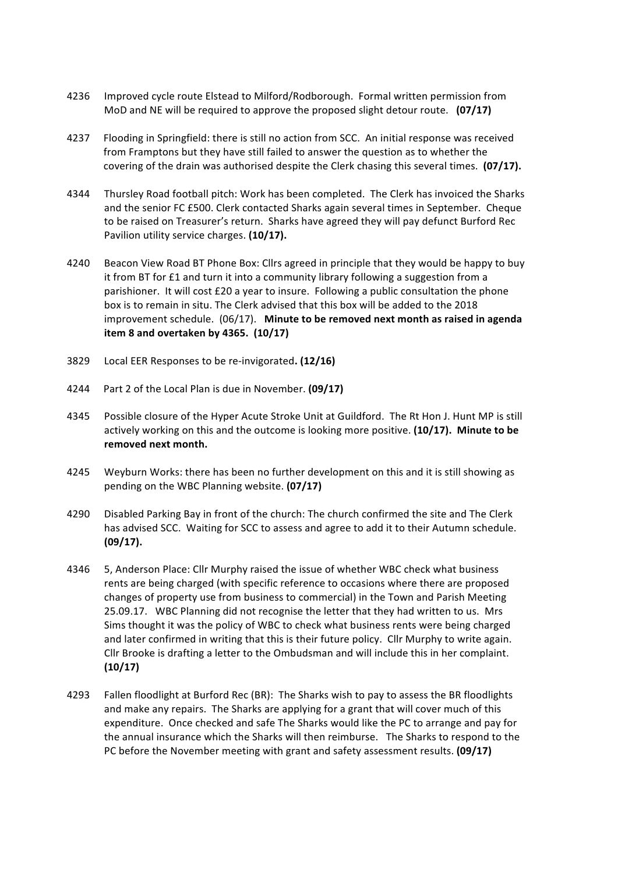- 4236 Improved cycle route Elstead to Milford/Rodborough. Formal written permission from MoD and NE will be required to approve the proposed slight detour route. **(07/17)**
- 4237 Flooding in Springfield: there is still no action from SCC. An initial response was received from Framptons but they have still failed to answer the question as to whether the covering of the drain was authorised despite the Clerk chasing this several times. **(07/17).**
- 4344 Thursley Road football pitch: Work has been completed. The Clerk has invoiced the Sharks and the senior FC £500. Clerk contacted Sharks again several times in September. Cheque to be raised on Treasurer's return. Sharks have agreed they will pay defunct Burford Rec Pavilion utility service charges. (10/17).
- 4240 Beacon View Road BT Phone Box: Cllrs agreed in principle that they would be happy to buy it from BT for £1 and turn it into a community library following a suggestion from a parishioner. It will cost £20 a year to insure. Following a public consultation the phone box is to remain in situ. The Clerk advised that this box will be added to the 2018 improvement schedule. (06/17). Minute to be removed next month as raised in agenda **item 8 and overtaken by 4365. (10/17)**
- 3829 Local EER Responses to be re-invigorated. (12/16)
- 4244 Part 2 of the Local Plan is due in November. **(09/17)**
- 4345 Possible closure of the Hyper Acute Stroke Unit at Guildford. The Rt Hon J. Hunt MP is still actively working on this and the outcome is looking more positive. (10/17). Minute to be removed next month.
- 4245 Weyburn Works: there has been no further development on this and it is still showing as pending on the WBC Planning website. **(07/17)**
- 4290 Disabled Parking Bay in front of the church: The church confirmed the site and The Clerk has advised SCC. Waiting for SCC to assess and agree to add it to their Autumn schedule. **(09/17).**
- 4346 5, Anderson Place: Cllr Murphy raised the issue of whether WBC check what business rents are being charged (with specific reference to occasions where there are proposed changes of property use from business to commercial) in the Town and Parish Meeting 25.09.17. WBC Planning did not recognise the letter that they had written to us. Mrs Sims thought it was the policy of WBC to check what business rents were being charged and later confirmed in writing that this is their future policy. Cllr Murphy to write again. Cllr Brooke is drafting a letter to the Ombudsman and will include this in her complaint. **(10/17)**
- 4293 Fallen floodlight at Burford Rec (BR): The Sharks wish to pay to assess the BR floodlights and make any repairs. The Sharks are applying for a grant that will cover much of this expenditure. Once checked and safe The Sharks would like the PC to arrange and pay for the annual insurance which the Sharks will then reimburse. The Sharks to respond to the PC before the November meeting with grant and safety assessment results. (09/17)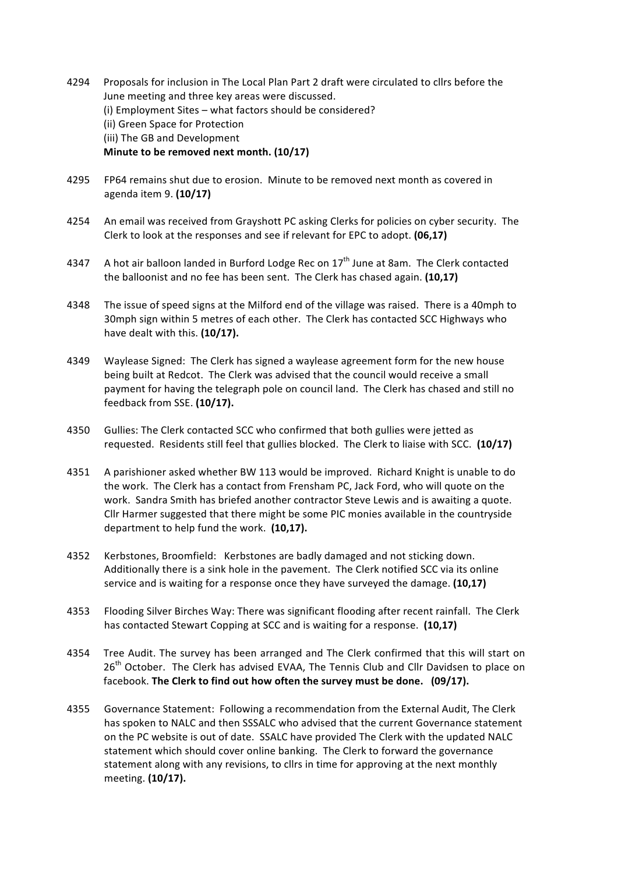- 4294 Proposals for inclusion in The Local Plan Part 2 draft were circulated to cllrs before the June meeting and three key areas were discussed. (i) Employment Sites – what factors should be considered? (ii) Green Space for Protection (iii) The GB and Development **Minute to be removed next month.** (10/17)
- 4295 FP64 remains shut due to erosion. Minute to be removed next month as covered in agenda item 9. **(10/17)**
- 4254 An email was received from Grayshott PC asking Clerks for policies on cyber security. The Clerk to look at the responses and see if relevant for EPC to adopt. **(06.17)**
- 4347 A hot air balloon landed in Burford Lodge Rec on  $17<sup>th</sup>$  June at 8am. The Clerk contacted the balloonist and no fee has been sent. The Clerk has chased again. (10,17)
- 4348 The issue of speed signs at the Milford end of the village was raised. There is a 40mph to 30mph sign within 5 metres of each other. The Clerk has contacted SCC Highways who have dealt with this. (10/17).
- 4349 Waylease Signed: The Clerk has signed a waylease agreement form for the new house being built at Redcot. The Clerk was advised that the council would receive a small payment for having the telegraph pole on council land. The Clerk has chased and still no feedback from SSE. **(10/17).**
- 4350 Gullies: The Clerk contacted SCC who confirmed that both gullies were jetted as requested. Residents still feel that gullies blocked. The Clerk to liaise with SCC. (10/17)
- 4351 A parishioner asked whether BW 113 would be improved. Richard Knight is unable to do the work. The Clerk has a contact from Frensham PC, Jack Ford, who will quote on the work. Sandra Smith has briefed another contractor Steve Lewis and is awaiting a quote. Cllr Harmer suggested that there might be some PIC monies available in the countryside department to help fund the work. (10,17).
- 4352 Kerbstones, Broomfield: Kerbstones are badly damaged and not sticking down. Additionally there is a sink hole in the pavement. The Clerk notified SCC via its online service and is waiting for a response once they have surveyed the damage. (10,17)
- 4353 Flooding Silver Birches Way: There was significant flooding after recent rainfall. The Clerk has contacted Stewart Copping at SCC and is waiting for a response. (10,17)
- 4354 Tree Audit. The survey has been arranged and The Clerk confirmed that this will start on 26<sup>th</sup> October. The Clerk has advised EVAA, The Tennis Club and Cllr Davidsen to place on facebook. The Clerk to find out how often the survey must be done. (09/17).
- 4355 Governance Statement: Following a recommendation from the External Audit, The Clerk has spoken to NALC and then SSSALC who advised that the current Governance statement on the PC website is out of date. SSALC have provided The Clerk with the updated NALC statement which should cover online banking. The Clerk to forward the governance statement along with any revisions, to cllrs in time for approving at the next monthly meeting. **(10/17).**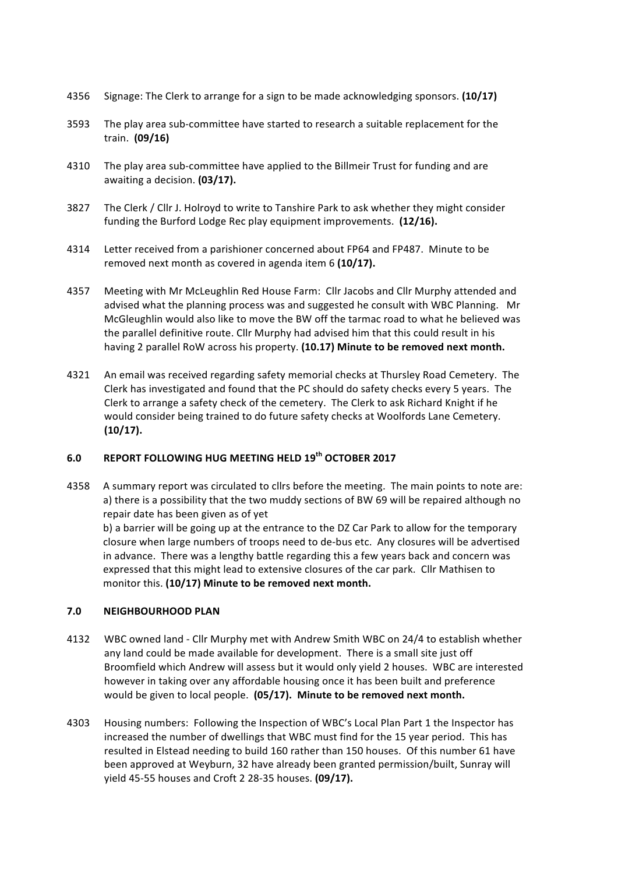- 4356 Signage: The Clerk to arrange for a sign to be made acknowledging sponsors. (10/17)
- 3593 The play area sub-committee have started to research a suitable replacement for the train. **(09/16)**
- 4310 The play area sub-committee have applied to the Billmeir Trust for funding and are awaiting a decision. **(03/17).**
- 3827 The Clerk / Cllr J. Holroyd to write to Tanshire Park to ask whether they might consider funding the Burford Lodge Rec play equipment improvements. (12/16).
- 4314 Letter received from a parishioner concerned about FP64 and FP487. Minute to be removed next month as covered in agenda item 6 (10/17).
- 4357 Meeting with Mr McLeughlin Red House Farm: Cllr Jacobs and Cllr Murphy attended and advised what the planning process was and suggested he consult with WBC Planning. Mr McGleughlin would also like to move the BW off the tarmac road to what he believed was the parallel definitive route. Cllr Murphy had advised him that this could result in his having 2 parallel RoW across his property. (10.17) Minute to be removed next month.
- 4321 An email was received regarding safety memorial checks at Thursley Road Cemetery. The Clerk has investigated and found that the PC should do safety checks every 5 years. The Clerk to arrange a safety check of the cemetery. The Clerk to ask Richard Knight if he would consider being trained to do future safety checks at Woolfords Lane Cemetery. **(10/17).**

#### **6.0 REPORT FOLLOWING HUG MEETING HELD 19th OCTOBER 2017**

4358 A summary report was circulated to cllrs before the meeting. The main points to note are: a) there is a possibility that the two muddy sections of BW 69 will be repaired although no repair date has been given as of yet

b) a barrier will be going up at the entrance to the DZ Car Park to allow for the temporary closure when large numbers of troops need to de-bus etc. Any closures will be advertised in advance. There was a lengthy battle regarding this a few years back and concern was expressed that this might lead to extensive closures of the car park. Cllr Mathisen to monitor this. (10/17) Minute to be removed next month.

#### **7.0 NEIGHBOURHOOD PLAN**

- 4132 WBC owned land Cllr Murphy met with Andrew Smith WBC on 24/4 to establish whether any land could be made available for development. There is a small site just off Broomfield which Andrew will assess but it would only yield 2 houses. WBC are interested however in taking over any affordable housing once it has been built and preference would be given to local people. (05/17). Minute to be removed next month.
- 4303 Housing numbers: Following the Inspection of WBC's Local Plan Part 1 the Inspector has increased the number of dwellings that WBC must find for the 15 year period. This has resulted in Elstead needing to build 160 rather than 150 houses. Of this number 61 have been approved at Weyburn, 32 have already been granted permission/built, Sunray will yield 45-55 houses and Croft 2 28-35 houses. **(09/17).**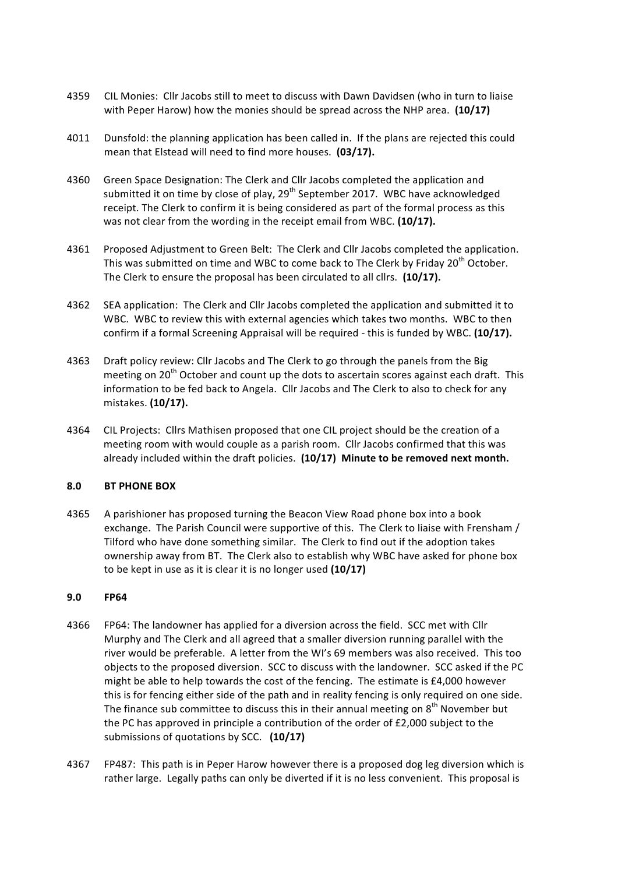- 4359 CIL Monies: Cllr Jacobs still to meet to discuss with Dawn Davidsen (who in turn to liaise with Peper Harow) how the monies should be spread across the NHP area. (10/17)
- 4011 Dunsfold: the planning application has been called in. If the plans are rejected this could mean that Elstead will need to find more houses. (03/17).
- 4360 Green Space Designation: The Clerk and Cllr Jacobs completed the application and submitted it on time by close of play, 29<sup>th</sup> September 2017. WBC have acknowledged receipt. The Clerk to confirm it is being considered as part of the formal process as this was not clear from the wording in the receipt email from WBC. (10/17).
- 4361 Proposed Adjustment to Green Belt: The Clerk and Cllr Jacobs completed the application. This was submitted on time and WBC to come back to The Clerk by Friday 20<sup>th</sup> October. The Clerk to ensure the proposal has been circulated to all cllrs. (10/17).
- 4362 SEA application: The Clerk and Cllr Jacobs completed the application and submitted it to WBC. WBC to review this with external agencies which takes two months. WBC to then confirm if a formal Screening Appraisal will be required - this is funded by WBC. (10/17).
- 4363 Draft policy review: Cllr Jacobs and The Clerk to go through the panels from the Big meeting on 20<sup>th</sup> October and count up the dots to ascertain scores against each draft. This information to be fed back to Angela. Cllr Jacobs and The Clerk to also to check for any mistakes. **(10/17).**
- 4364 CIL Projects: Cllrs Mathisen proposed that one CIL project should be the creation of a meeting room with would couple as a parish room. Cllr Jacobs confirmed that this was already included within the draft policies. (10/17) Minute to be removed next month.

#### **8.0 BT PHONE BOX**

4365 A parishioner has proposed turning the Beacon View Road phone box into a book exchange. The Parish Council were supportive of this. The Clerk to liaise with Frensham / Tilford who have done something similar. The Clerk to find out if the adoption takes ownership away from BT. The Clerk also to establish why WBC have asked for phone box to be kept in use as it is clear it is no longer used (10/17)

#### **9.0 FP64**

- 4366 FP64: The landowner has applied for a diversion across the field. SCC met with Cllr Murphy and The Clerk and all agreed that a smaller diversion running parallel with the river would be preferable. A letter from the WI's 69 members was also received. This too objects to the proposed diversion. SCC to discuss with the landowner. SCC asked if the PC might be able to help towards the cost of the fencing. The estimate is  $£4,000$  however this is for fencing either side of the path and in reality fencing is only required on one side. The finance sub committee to discuss this in their annual meeting on  $8<sup>th</sup>$  November but the PC has approved in principle a contribution of the order of  $£2,000$  subject to the submissions of quotations by SCC. (10/17)
- 4367 FP487: This path is in Peper Harow however there is a proposed dog leg diversion which is rather large. Legally paths can only be diverted if it is no less convenient. This proposal is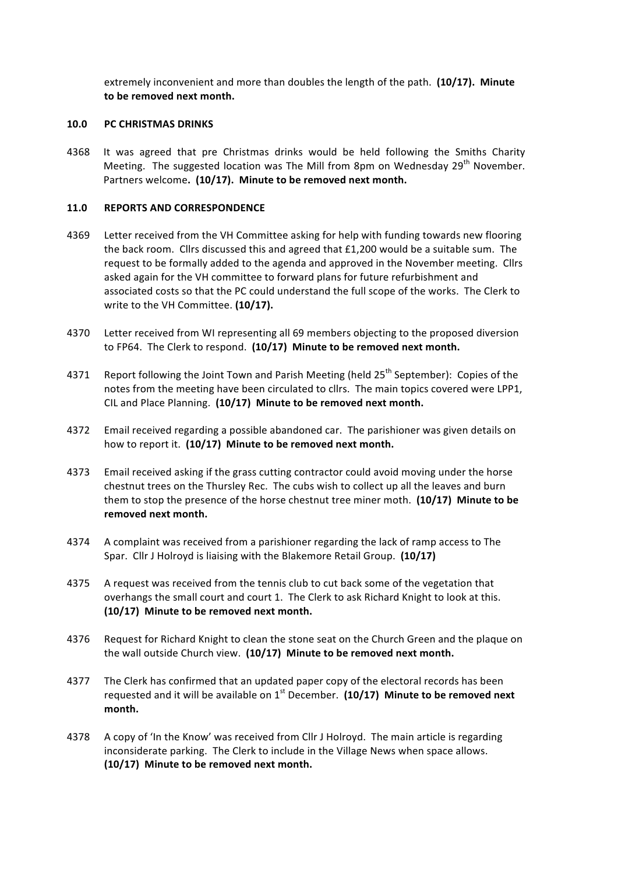extremely inconvenient and more than doubles the length of the path. (10/17). Minute to be removed next month.

#### **10.0 PC CHRISTMAS DRINKS**

4368 It was agreed that pre Christmas drinks would be held following the Smiths Charity Meeting. The suggested location was The Mill from 8pm on Wednesday 29<sup>th</sup> November. Partners welcome. (10/17). Minute to be removed next month.

#### **11.0 REPORTS AND CORRESPONDENCE**

- 4369 Letter received from the VH Committee asking for help with funding towards new flooring the back room. Cllrs discussed this and agreed that  $£1,200$  would be a suitable sum. The request to be formally added to the agenda and approved in the November meeting. Cllrs asked again for the VH committee to forward plans for future refurbishment and associated costs so that the PC could understand the full scope of the works. The Clerk to write to the VH Committee. (10/17).
- 4370 Letter received from WI representing all 69 members objecting to the proposed diversion to FP64. The Clerk to respond. (10/17) Minute to be removed next month.
- 4371 Report following the Joint Town and Parish Meeting (held  $25<sup>th</sup>$  September): Copies of the notes from the meeting have been circulated to cllrs. The main topics covered were LPP1, CIL and Place Planning. (10/17) Minute to be removed next month.
- 4372 Email received regarding a possible abandoned car. The parishioner was given details on how to report it. (10/17) Minute to be removed next month.
- 4373 Email received asking if the grass cutting contractor could avoid moving under the horse chestnut trees on the Thursley Rec. The cubs wish to collect up all the leaves and burn them to stop the presence of the horse chestnut tree miner moth. **(10/17) Minute to be** removed next month.
- 4374 A complaint was received from a parishioner regarding the lack of ramp access to The Spar. Cllr J Holroyd is liaising with the Blakemore Retail Group. (10/17)
- 4375 A request was received from the tennis club to cut back some of the vegetation that overhangs the small court and court 1. The Clerk to ask Richard Knight to look at this. (10/17) Minute to be removed next month.
- 4376 Request for Richard Knight to clean the stone seat on the Church Green and the plaque on the wall outside Church view. (10/17) Minute to be removed next month.
- 4377 The Clerk has confirmed that an updated paper copy of the electoral records has been requested and it will be available on  $1<sup>st</sup>$  December. (10/17) Minute to be removed next **month.**
- 4378 A copy of 'In the Know' was received from Cllr J Holroyd. The main article is regarding inconsiderate parking. The Clerk to include in the Village News when space allows. (10/17) Minute to be removed next month.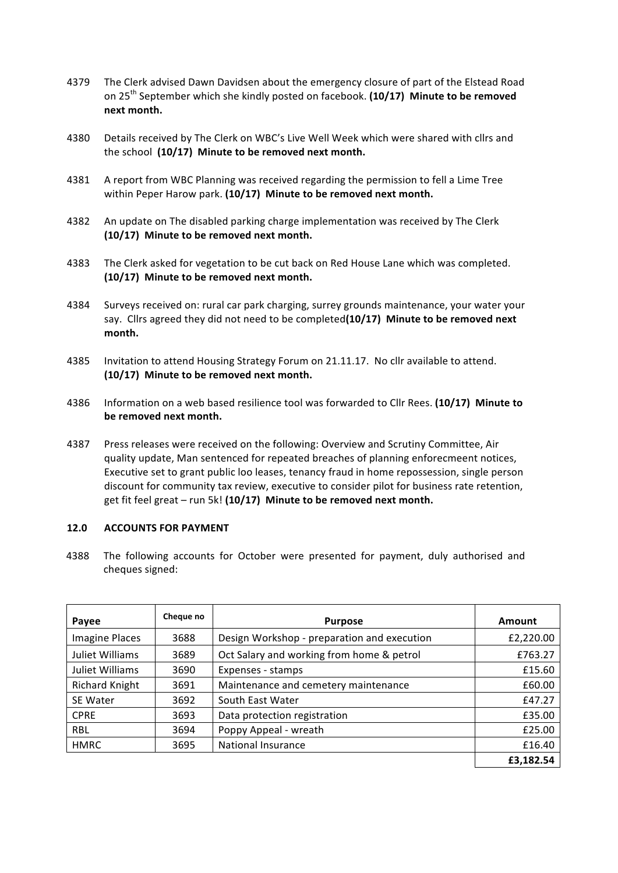- 4379 The Clerk advised Dawn Davidsen about the emergency closure of part of the Elstead Road on 25<sup>th</sup> September which she kindly posted on facebook. (10/17) Minute to be removed **next month.**
- 4380 Details received by The Clerk on WBC's Live Well Week which were shared with cllrs and the school (10/17) Minute to be removed next month.
- 4381 A report from WBC Planning was received regarding the permission to fell a Lime Tree within Peper Harow park. (10/17) Minute to be removed next month.
- 4382 An update on The disabled parking charge implementation was received by The Clerk (10/17) Minute to be removed next month.
- 4383 The Clerk asked for vegetation to be cut back on Red House Lane which was completed. (10/17) Minute to be removed next month.
- 4384 Surveys received on: rural car park charging, surrey grounds maintenance, your water your say. Cllrs agreed they did not need to be completed(10/17) Minute to be removed next **month.**
- 4385 Invitation to attend Housing Strategy Forum on 21.11.17. No cllr available to attend. (10/17) Minute to be removed next month.
- 4386 Information on a web based resilience tool was forwarded to Cllr Rees. (10/17) Minute to be removed next month.
- 4387 Press releases were received on the following: Overview and Scrutiny Committee, Air quality update, Man sentenced for repeated breaches of planning enforecmeent notices, Executive set to grant public loo leases, tenancy fraud in home repossession, single person discount for community tax review, executive to consider pilot for business rate retention, get fit feel great – run 5k! (10/17) Minute to be removed next month.

#### **12.0 ACCOUNTS FOR PAYMENT**

4388 The following accounts for October were presented for payment, duly authorised and cheques signed:

| Payee                 | Cheque no | <b>Purpose</b>                              | Amount    |
|-----------------------|-----------|---------------------------------------------|-----------|
| <b>Imagine Places</b> | 3688      | Design Workshop - preparation and execution | £2,220.00 |
| Juliet Williams       | 3689      | Oct Salary and working from home & petrol   | £763.27   |
| Juliet Williams       | 3690      | Expenses - stamps                           | £15.60    |
| <b>Richard Knight</b> | 3691      | Maintenance and cemetery maintenance        | £60.00    |
| SE Water              | 3692      | South East Water                            | £47.27    |
| <b>CPRE</b>           | 3693      | Data protection registration                | £35.00    |
| <b>RBL</b>            | 3694      | Poppy Appeal - wreath                       | £25.00    |
| <b>HMRC</b>           | 3695      | <b>National Insurance</b>                   | £16.40    |
|                       |           |                                             | £3.182.54 |